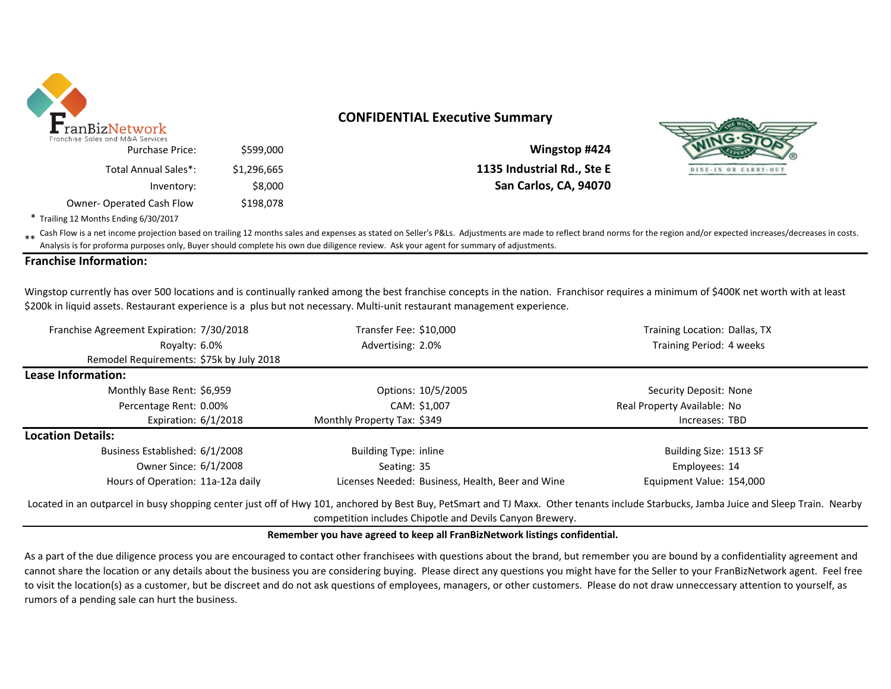

# **CONFIDENTIAL Executive Summary**

| \$599,000   | <b>Purchase Price:</b>   |
|-------------|--------------------------|
| \$1,296,665 | Total Annual Sales*:     |
| \$8,000     | Inventory:               |
| \$198.078   | Owner-Operated Cash Flow |

\$599,000 **Wingstop #424** \$1,296,665 **1135 Industrial Rd., Ste E** Inventory: \$8,000 **San Carlos, CA, 94070**



\* Trailing 12 Months Ending 6/30/2017

\*\* Cash Flow is a net income projection based on trailing 12 months sales and expenses as stated on Seller's P&Ls. Adjustments are made to reflect brand norms for the region and/or expected increases/decreases in costs.<br>An Analysis is for proforma purposes only, Buyer should complete his own due diligence review. Ask your agent for summary of adjustments.

### **Franchise Information:**

Wingstop currently has over 500 locations and is continually ranked among the best franchise concepts in the nation. Franchisor requires a minimum of \$400K net worth with at least \$200k in liquid assets. Restaurant experience is a plus but not necessary. Multi-unit restaurant management experience.

| Franchise Agreement Expiration: 7/30/2018 | Transfer Fee: \$10,000                           | Training Location: Dallas, TX |  |  |  |
|-------------------------------------------|--------------------------------------------------|-------------------------------|--|--|--|
| Royalty: 6.0%                             | Advertising: 2.0%                                | Training Period: 4 weeks      |  |  |  |
| Remodel Requirements: \$75k by July 2018  |                                                  |                               |  |  |  |
| Lease Information:                        |                                                  |                               |  |  |  |
| Monthly Base Rent: \$6,959                | Options: 10/5/2005                               | Security Deposit: None        |  |  |  |
| Percentage Rent: 0.00%                    | CAM: \$1.007                                     | Real Property Available: No   |  |  |  |
| Expiration: $6/1/2018$                    | Monthly Property Tax: \$349                      | Increases: TBD                |  |  |  |
| <b>Location Details:</b>                  |                                                  |                               |  |  |  |
| Business Established: 6/1/2008            | <b>Building Type: inline</b>                     | Building Size: 1513 SF        |  |  |  |
| Owner Since: 6/1/2008                     | Seating: 35                                      | Employees: 14                 |  |  |  |
| Hours of Operation: 11a-12a daily         | Licenses Needed: Business, Health, Beer and Wine | Equipment Value: 154,000      |  |  |  |

Located in an outparcel in busy shopping center just off of Hwy 101, anchored by Best Buy, PetSmart and TJ Maxx. Other tenants include Starbucks, Jamba Juice and Sleep Train. Nearby competition includes Chipotle and Devils Canyon Brewery.

#### **Remember you have agreed to keep all FranBizNetwork listings confidential.**

As a part of the due diligence process you are encouraged to contact other franchisees with questions about the brand, but remember you are bound by a confidentiality agreement and cannot share the location or any details about the business you are considering buying. Please direct any questions you might have for the Seller to your FranBizNetwork agent. Feel free to visit the location(s) as a customer, but be discreet and do not ask questions of employees, managers, or other customers. Please do not draw unneccessary attention to yourself, as rumors of a pending sale can hurt the business.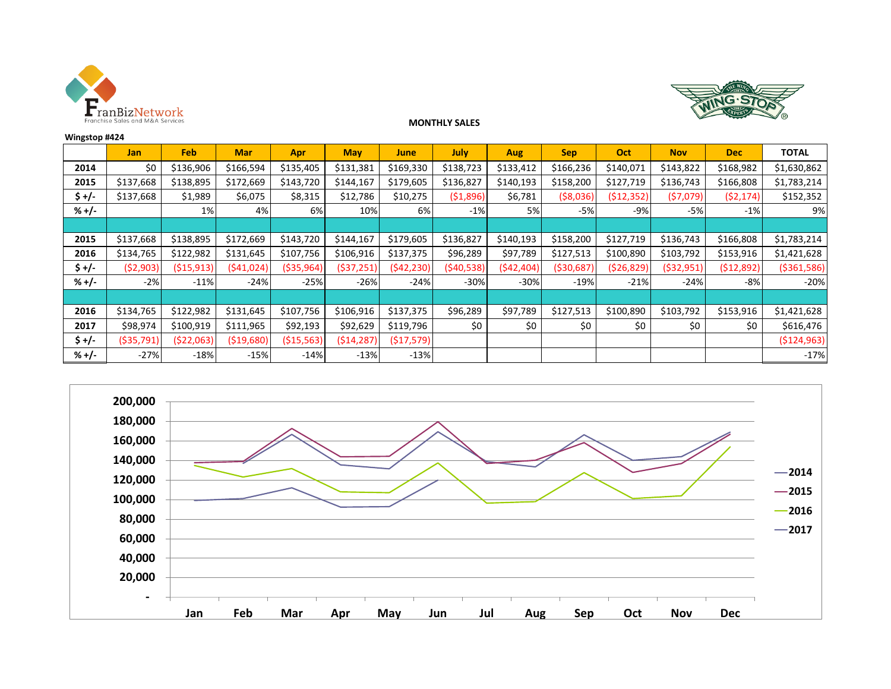



### **MONTHLY SALES**

| Wingstop #424 |             |              |             |              |              |            |             |            |              |              |            |            |               |
|---------------|-------------|--------------|-------------|--------------|--------------|------------|-------------|------------|--------------|--------------|------------|------------|---------------|
|               | <b>Jan</b>  | Feb          | <b>Mar</b>  | Apr          | <b>May</b>   | June       | <b>July</b> | <b>Aug</b> | <b>Sep</b>   | Oct          | <b>Nov</b> | <b>Dec</b> | <b>TOTAL</b>  |
| 2014          | \$0         | \$136,906    | \$166,594   | \$135,405    | \$131,381    | \$169,330  | \$138,723   | \$133,412  | \$166,236    | \$140,071    | \$143,822  | \$168,982  | \$1,630,862   |
| 2015          | \$137,668   | \$138,895    | \$172,669   | \$143,720    | \$144,167    | \$179,605  | \$136,827   | \$140,193  | \$158,200    | \$127,719    | \$136,743  | \$166,808  | \$1,783,214   |
| $$+/-$        | \$137,668   | \$1,989      | \$6,075     | \$8,315      | \$12,786     | \$10,275   | (51,896)    | \$6,781    | ( \$8,036)   | ( \$12, 352) | (57,079)   | (52, 174)  | \$152,352     |
| $% +/-$       |             | 1%           | 4%          | 6%           | 10%          | 6%         | $-1%$       | 5%         | $-5%$        | $-9%$        | $-5%$      | $-1%$      | 9%            |
|               |             |              |             |              |              |            |             |            |              |              |            |            |               |
| 2015          | \$137,668   | \$138,895    | \$172,669   | \$143,720    | \$144,167    | \$179,605  | \$136,827   | \$140,193  | \$158,200    | \$127,719    | \$136,743  | \$166,808  | \$1,783,214   |
| 2016          | \$134,765   | \$122,982    | \$131,645   | \$107,756    | \$106,916    | \$137,375  | \$96,289    | \$97,789   | \$127,513    | \$100,890    | \$103,792  | \$153,916  | \$1,421,628   |
| $$+/-$        | (52,903)    | ( \$15, 913) | (541, 024)  | ( \$35, 964) | ( \$37, 251] | (542, 230) | (\$40,538)  | (542, 404) | ( \$30, 687) | ( \$26, 829) | (532,951)  | (512,892)  | ( \$361, 586) |
| $% +/-$       | $-2%$       | $-11%$       | $-24%$      | $-25%$       | $-26%$       | $-24%$     | $-30%$      | $-30%$     | $-19%$       | $-21%$       | $-24%$     | $-8%$      | $-20%$        |
|               |             |              |             |              |              |            |             |            |              |              |            |            |               |
| 2016          | \$134,765   | \$122,982    | \$131,645   | \$107,756    | \$106,916    | \$137,375  | \$96,289    | \$97,789   | \$127,513    | \$100,890    | \$103,792  | \$153,916  | \$1,421,628   |
| 2017          | \$98,974    | \$100,919    | \$111,965   | \$92,193     | \$92,629     | \$119,796  | \$0         | \$0        | \$0          | \$0          | \$0        | \$0        | \$616,476     |
| \$+/-         | ( \$35,791) | (522,063)    | ( \$19,680) | ( \$15,563)  | (\$14,287)   | (517, 579) |             |            |              |              |            |            | ( \$124, 963) |
| $% +/-$       | $-27%$      | $-18%$       | $-15%$      | $-14%$       | $-13%$       | $-13%$     |             |            |              |              |            |            | $-17%$        |